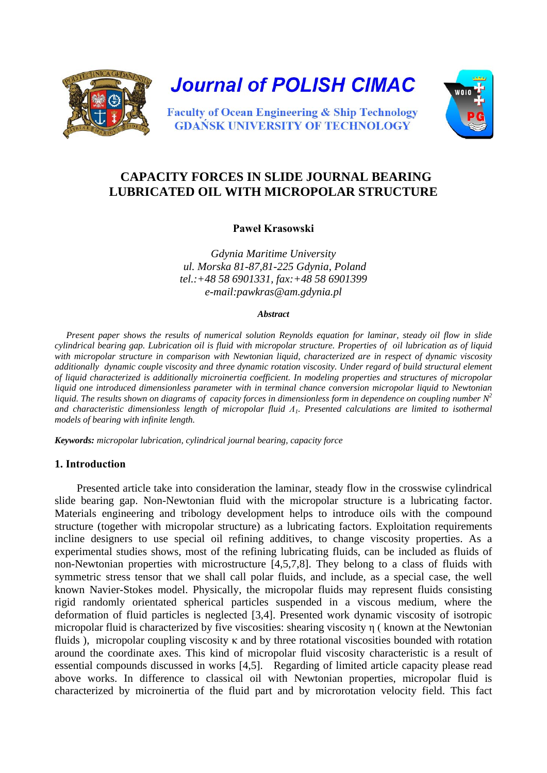

# **CAPACITY FORCES IN SLIDE JOURNAL BEARING LUBRICATED OIL WITH MICROPOLAR STRUCTURE**

### **Paweł Krasowski**

*Gdynia Maritime University ul. Morska 81-87,81-225 Gdynia, Poland tel.:+48 58 6901331, fax:+48 58 6901399 e-mail:pawkras@am.gdynia.pl* 

#### *Abstract*

 *Present paper shows the results of numerical solution Reynolds equation for laminar, steady oil flow in slide cylindrical bearing gap. Lubrication oil is fluid with micropolar structure. Properties of oil lubrication as of liquid with micropolar structure in comparison with Newtonian liquid, characterized are in respect of dynamic viscosity additionally dynamic couple viscosity and three dynamic rotation viscosity. Under regard of build structural element of liquid characterized is additionally microinertia coefficient. In modeling properties and structures of micropolar liquid one introduced dimensionless parameter with in terminal chance conversion micropolar liquid to Newtonian liquid. The results shown on diagrams of capacity forces in dimensionless form in dependence on coupling number*  $N^2$ *and characteristic dimensionless length of micropolar fluid Λ1. Presented calculations are limited to isothermal models of bearing with infinite length.*

*Keywords: micropolar lubrication, cylindrical journal bearing, capacity force*

### **1. Introduction**

 Presented article take into consideration the laminar, steady flow in the crosswise cylindrical slide bearing gap. Non-Newtonian fluid with the micropolar structure is a lubricating factor. Materials engineering and tribology development helps to introduce oils with the compound structure (together with micropolar structure) as a lubricating factors. Exploitation requirements incline designers to use special oil refining additives, to change viscosity properties. As a experimental studies shows, most of the refining lubricating fluids, can be included as fluids of non-Newtonian properties with microstructure [4,5,7,8]. They belong to a class of fluids with symmetric stress tensor that we shall call polar fluids, and include, as a special case, the well known Navier-Stokes model. Physically, the micropolar fluids may represent fluids consisting rigid randomly orientated spherical particles suspended in a viscous medium, where the deformation of fluid particles is neglected [3,4]. Presented work dynamic viscosity of isotropic micropolar fluid is characterized by five viscosities: shearing viscosity η ( known at the Newtonian fluids), micropolar coupling viscosity  $\kappa$  and by three rotational viscosities bounded with rotation around the coordinate axes. This kind of micropolar fluid viscosity characteristic is a result of essential compounds discussed in works [4,5]. Regarding of limited article capacity please read above works. In difference to classical oil with Newtonian properties, micropolar fluid is characterized by microinertia of the fluid part and by microrotation velocity field. This fact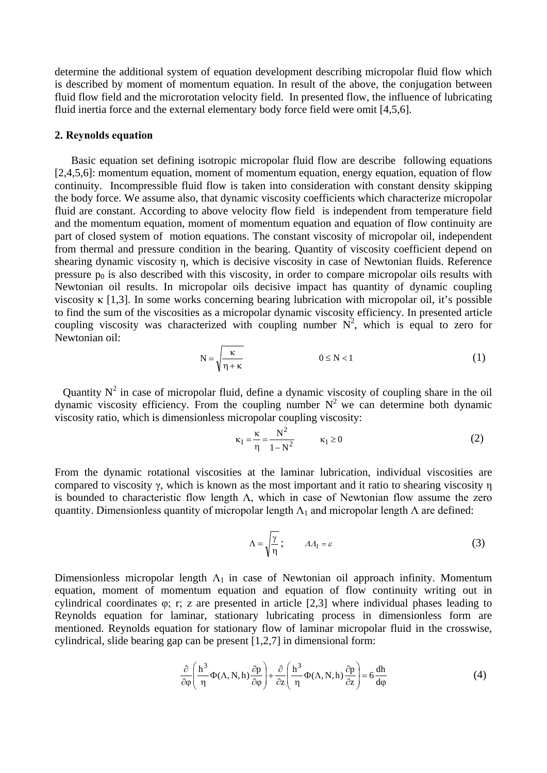determine the additional system of equation development describing micropolar fluid flow which is described by moment of momentum equation. In result of the above, the conjugation between fluid flow field and the microrotation velocity field. In presented flow, the influence of lubricating fluid inertia force and the external elementary body force field were omit [4,5,6].

### **2. Reynolds equation**

 Basic equation set defining isotropic micropolar fluid flow are describe following equations [2,4,5,6]: momentum equation, moment of momentum equation, energy equation, equation of flow continuity. Incompressible fluid flow is taken into consideration with constant density skipping the body force. We assume also, that dynamic viscosity coefficients which characterize micropolar fluid are constant. According to above velocity flow field is independent from temperature field and the momentum equation, moment of momentum equation and equation of flow continuity are part of closed system of motion equations. The constant viscosity of micropolar oil, independent from thermal and pressure condition in the bearing. Quantity of viscosity coefficient depend on shearing dynamic viscosity η, which is decisive viscosity in case of Newtonian fluids. Reference pressure  $p_0$  is also described with this viscosity, in order to compare micropolar oils results with Newtonian oil results. In micropolar oils decisive impact has quantity of dynamic coupling viscosity κ [1,3]. In some works concerning bearing lubrication with micropolar oil, it's possible to find the sum of the viscosities as a micropolar dynamic viscosity efficiency. In presented article coupling viscosity was characterized with coupling number  $N^2$ , which is equal to zero for Newtonian oil:

$$
N = \sqrt{\frac{\kappa}{\eta + \kappa}}
$$
 0 \le N < 1 (1)

Quantity  $N^2$  in case of micropolar fluid, define a dynamic viscosity of coupling share in the oil dynamic viscosity efficiency. From the coupling number  $N^2$  we can determine both dynamic viscosity ratio, which is dimensionless micropolar coupling viscosity:

$$
\kappa_1 = \frac{\kappa}{\eta} = \frac{N^2}{1 - N^2} \qquad \kappa_1 \ge 0 \tag{2}
$$

From the dynamic rotational viscosities at the laminar lubrication, individual viscosities are compared to viscosity γ, which is known as the most important and it ratio to shearing viscosity η is bounded to characteristic flow length  $\Lambda$ , which in case of Newtonian flow assume the zero quantity. Dimensionless quantity of micropolar length  $\Lambda_1$  and micropolar length  $\Lambda$  are defined:

$$
\Lambda = \sqrt{\frac{\gamma}{\eta}} \; ; \qquad A A_I = \varepsilon \tag{3}
$$

Dimensionless micropolar length  $\Lambda_1$  in case of Newtonian oil approach infinity. Momentum equation, moment of momentum equation and equation of flow continuity writing out in cylindrical coordinates φ; r; z are presented in article [2,3] where individual phases leading to Reynolds equation for laminar, stationary lubricating process in dimensionless form are mentioned. Reynolds equation for stationary flow of laminar micropolar fluid in the crosswise, cylindrical, slide bearing gap can be present [1,2,7] in dimensional form:

$$
\frac{\partial}{\partial \varphi} \left( \frac{h^3}{\eta} \Phi(\Lambda, N, h) \frac{\partial p}{\partial \varphi} \right) + \frac{\partial}{\partial z} \left( \frac{h^3}{\eta} \Phi(\Lambda, N, h) \frac{\partial p}{\partial z} \right) = 6 \frac{dh}{d\varphi}
$$
(4)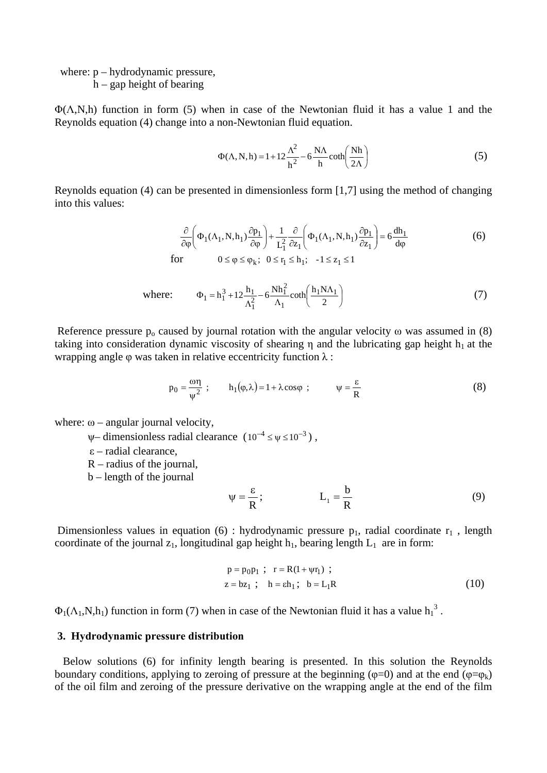### where: p – hydrodynamic pressure, h – gap height of bearing

 $\Phi(\Lambda, N, h)$  function in form (5) when in case of the Newtonian fluid it has a value 1 and the Reynolds equation (4) change into a non-Newtonian fluid equation.

$$
\Phi(\Lambda, N, h) = 1 + 12 \frac{\Lambda^2}{h^2} - 6 \frac{N\Lambda}{h} \coth\left(\frac{Nh}{2\Lambda}\right)
$$
 (5)

Reynolds equation (4) can be presented in dimensionless form [1,7] using the method of changing into this values:

$$
\frac{\partial}{\partial \varphi} \left( \Phi_1(\Lambda_1, N, h_1) \frac{\partial p_1}{\partial \varphi} \right) + \frac{1}{L_1^2} \frac{\partial}{\partial z_1} \left( \Phi_1(\Lambda_1, N, h_1) \frac{\partial p_1}{\partial z_1} \right) = 6 \frac{dh_1}{d\varphi}
$$
\nfor\n
$$
0 \leq \varphi \leq \varphi_k; \quad 0 \leq r_1 \leq h_1; \quad -1 \leq z_1 \leq 1
$$
\n(6)

where: 
$$
\Phi_1 = h_1^3 + 12 \frac{h_1}{\Lambda_1^2} - 6 \frac{Nh_1^2}{\Lambda_1} \coth\left(\frac{h_1 N \Lambda_1}{2}\right)
$$
 (7)

Reference pressure  $p_0$  caused by journal rotation with the angular velocity  $\omega$  was assumed in (8) taking into consideration dynamic viscosity of shearing  $\eta$  and the lubricating gap height  $h_1$  at the wrapping angle  $\varphi$  was taken in relative eccentricity function  $\lambda$ :

$$
p_0 = \frac{\omega \eta}{\psi^2} \; ; \qquad h_1(\varphi, \lambda) = 1 + \lambda \cos \varphi \; ; \qquad \psi = \frac{\varepsilon}{R} \tag{8}
$$

#### where:  $\omega$  – angular journal velocity,

- $\psi$  dimensionless radial clearance (10<sup>-4</sup> ≤ $\psi$  ≤ 10<sup>-3</sup>),
- ε radial clearance,
- $R$  radius of the journal,
- b length of the journal

$$
\psi = \frac{\varepsilon}{R}; \qquad L_1 = \frac{b}{R} \tag{9}
$$

Dimensionless values in equation (6) : hydrodynamic pressure  $p_1$ , radial coordinate  $r_1$ , length coordinate of the journal  $z_1$ , longitudinal gap height  $h_1$ , bearing length  $L_1$  are in form:

$$
p = p_0 p_1
$$
;  $r = R(1 + \psi r_1)$ ;  
 $z = bz_1$ ;  $h = \varepsilon h_1$ ;  $b = L_1 R$  (10)

 $\Phi_1(\Lambda_1, N, h_1)$  function in form (7) when in case of the Newtonian fluid it has a value  $h_1^3$ .

#### **3. Hydrodynamic pressure distribution**

 Below solutions (6) for infinity length bearing is presented. In this solution the Reynolds boundary conditions, applying to zeroing of pressure at the beginning ( $\varphi=0$ ) and at the end ( $\varphi=\varphi_k$ ) of the oil film and zeroing of the pressure derivative on the wrapping angle at the end of the film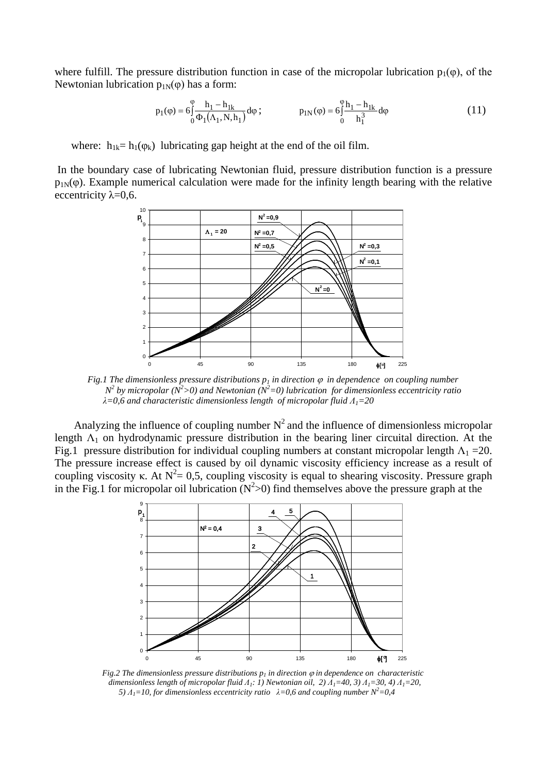where fulfill. The pressure distribution function in case of the micropolar lubrication  $p_1(\varphi)$ , of the Newtonian lubrication  $p_{1N}(\varphi)$  has a form:

$$
p_1(\varphi) = 6 \int_0^{\varphi} \frac{h_1 - h_{1k}}{\Phi_1(\Lambda_1, N, h_1)} d\varphi ; \qquad p_{1N}(\varphi) = 6 \int_0^{\varphi} \frac{h_1 - h_{1k}}{h_1^3} d\varphi \qquad (11)
$$

where:  $h_{1k} = h_1(\varphi_k)$  lubricating gap height at the end of the oil film.

In the boundary case of lubricating Newtonian fluid, pressure distribution function is a pressure  $p_{1N}(\varphi)$ . Example numerical calculation were made for the infinity length bearing with the relative eccentricity  $\lambda$ =0,6.



*Fig.1 The dimensionless pressure distributions*  $p_1$  *in direction*  $\varphi$  *in dependence on coupling number*  $N^2$  by micropolar ( $N^2$ >0) and Newtonian ( $N^2$ =0) lubrication for dimensionless eccentricity ratio  *λ=0,6 and characteristic dimensionless length of micropolar fluid Λ1=20*

Analyzing the influence of coupling number  $N^2$  and the influence of dimensionless micropolar length  $\Lambda_1$  on hydrodynamic pressure distribution in the bearing liner circuital direction. At the Fig.1 pressure distribution for individual coupling numbers at constant micropolar length  $\Lambda_1$  =20. The pressure increase effect is caused by oil dynamic viscosity efficiency increase as a result of coupling viscosity κ. At  $N^2 = 0.5$ , coupling viscosity is equal to shearing viscosity. Pressure graph in the Fig.1 for micropolar oil lubrication  $(N^2>0)$  find themselves above the pressure graph at the



*Fig.2 The dimensionless pressure distributions*  $p_1$  *in direction*  $\varphi$  *in dependence on characteristic dimensionless length of micropolar fluid Λ1: 1) Newtonian oil, 2) Λ1=40, 3) Λ1=30, 4) Λ1=20, 5*)  $Λ<sub>1</sub>=10$ , for dimensionless eccentricity ratio  $λ=0.6$  and coupling number N<sup>2</sup>=0.4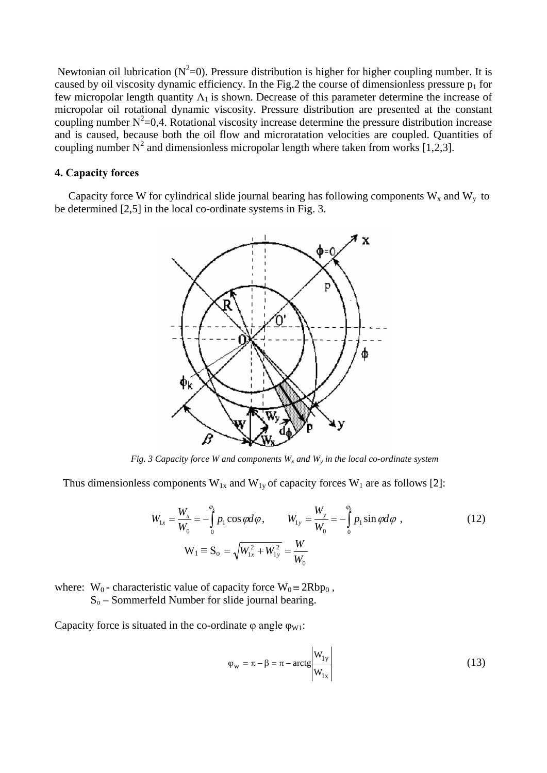Newtonian oil lubrication ( $N^2=0$ ). Pressure distribution is higher for higher coupling number. It is caused by oil viscosity dynamic efficiency. In the Fig.2 the course of dimensionless pressure  $p_1$  for few micropolar length quantity  $\Lambda_1$  is shown. Decrease of this parameter determine the increase of micropolar oil rotational dynamic viscosity. Pressure distribution are presented at the constant coupling number  $N^2=0,4$ . Rotational viscosity increase determine the pressure distribution increase and is caused, because both the oil flow and microratation velocities are coupled. Quantities of coupling number  $N^2$  and dimensionless micropolar length where taken from works [1,2,3].

### **4. Capacity forces**

Capacity force W for cylindrical slide journal bearing has following components  $W_x$  and  $W_y$  to be determined [2,5] in the local co-ordinate systems in Fig. 3.



*Fig. 3 Capacity force W and components*  $W_x$  *and*  $W_y$  *in the local co-ordinate system* 

Thus dimensionless components  $W_{1x}$  and  $W_{1y}$  of capacity forces  $W_1$  are as follows [2]:

$$
W_{1x} = \frac{W_x}{W_0} = -\int_0^{\varphi_k} p_1 \cos \varphi d\varphi, \qquad W_{1y} = \frac{W_y}{W_0} = -\int_0^{\varphi_k} p_1 \sin \varphi d\varphi,
$$
  

$$
W_1 \equiv S_0 = \sqrt{W_{1x}^2 + W_{1y}^2} = \frac{W}{W_0}
$$
 (12)

where: W<sub>0</sub> - characteristic value of capacity force  $W_0 = 2Rbp_0$ ,  $S_0$  – Sommerfeld Number for slide journal bearing.

Capacity force is situated in the co-ordinate  $\varphi$  angle  $\varphi_{W1}$ :

$$
\varphi_{\mathbf{w}} = \pi - \beta = \pi - \arctg \left| \frac{\mathbf{w}_{1\mathbf{y}}}{\mathbf{w}_{1\mathbf{x}}} \right| \tag{13}
$$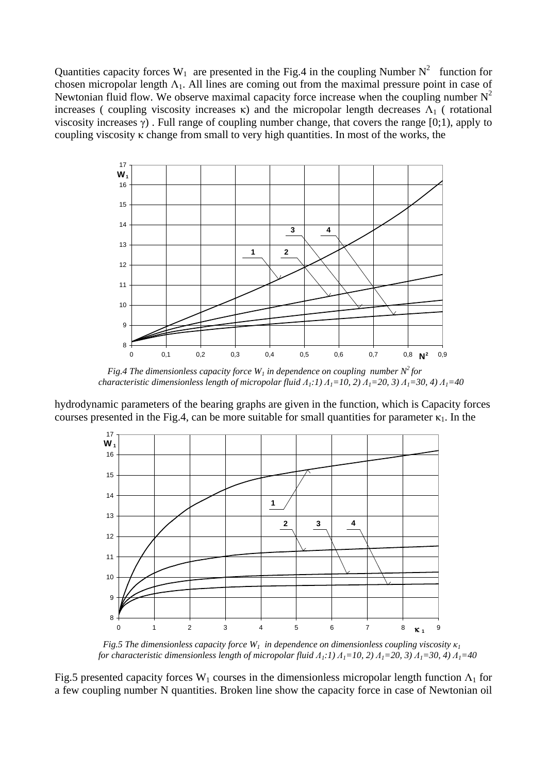Quantities capacity forces  $W_1$  are presented in the Fig.4 in the coupling Number  $N^2$  function for chosen micropolar length  $\Lambda_1$ . All lines are coming out from the maximal pressure point in case of Newtonian fluid flow. We observe maximal capacity force increase when the coupling number  $N^2$ increases ( coupling viscosity increases κ) and the micropolar length decreases  $Λ_1$  ( rotational viscosity increases  $\gamma$ ). Full range of coupling number change, that covers the range [0;1), apply to coupling viscosity κ change from small to very high quantities. In most of the works, the



*Fig.4 The dimensionless capacity force*  $W_l$  *in dependence on coupling number*  $N^2$  *for characteristic dimensionless length of micropolar fluid Λ1:1) Λ1=10, 2) Λ1=20, 3) Λ1=30, 4) Λ1=40*

hydrodynamic parameters of the bearing graphs are given in the function, which is Capacity forces courses presented in the Fig.4, can be more suitable for small quantities for parameter  $\kappa_1$ . In the



*Fig.5 The dimensionless capacity force*  $W_1$  *in dependence on dimensionless coupling viscosity*  $\kappa_1$  *for characteristic dimensionless length of micropolar fluid Λ1:1) Λ1=10, 2) Λ1=20, 3) Λ1=30, 4) Λ1=40*

Fig.5 presented capacity forces W<sub>1</sub> courses in the dimensionless micropolar length function  $\Lambda_1$  for a few coupling number N quantities. Broken line show the capacity force in case of Newtonian oil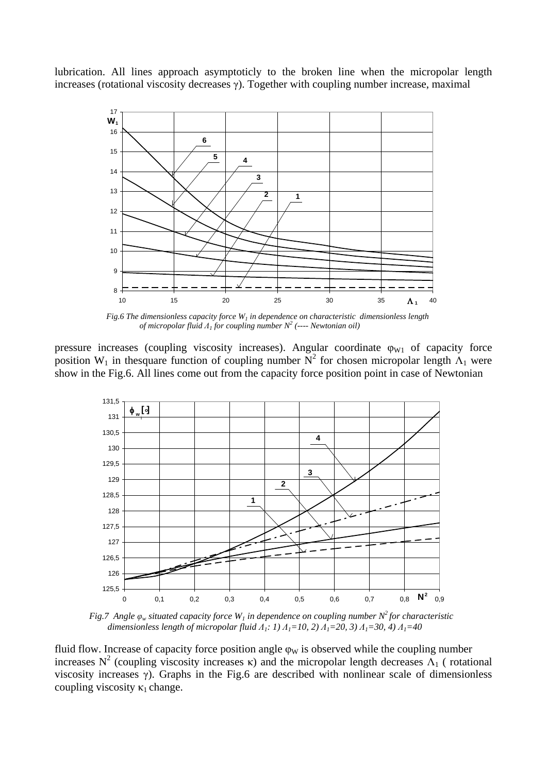lubrication. All lines approach asymptoticly to the broken line when the micropolar length increases (rotational viscosity decreases γ). Together with coupling number increase, maximal



*Fig.6* The dimensionless capacity force  $W<sub>1</sub>$  in dependence on characteristic dimensionless length  *of micropolar fluid Λ<sup>1</sup> for coupling number N<sup>2</sup> (---- Newtonian oil)*

pressure increases (coupling viscosity increases). Angular coordinate  $\varphi_{W1}$  of capacity force position W<sub>1</sub> in thesquare function of coupling number  $\overrightarrow{N}^2$  for chosen micropolar length  $\Lambda_1$  were show in the Fig.6. All lines come out from the capacity force position point in case of Newtonian



*Fig.7 Angle*  $\varphi_w$  *situated capacity force*  $W_l$  *in dependence on coupling number*  $N^2$  *for characteristic dimensionless length of micropolar fluid Λ1: 1) Λ1=10, 2) Λ1=20, 3) Λ1=30, 4) Λ1=40*

fluid flow. Increase of capacity force position angle  $\varphi_W$  is observed while the coupling number increases N<sup>2</sup> (coupling viscosity increases κ) and the micropolar length decreases  $\tilde{\Lambda}_1$  ( rotational viscosity increases γ). Graphs in the Fig.6 are described with nonlinear scale of dimensionless coupling viscosity  $\kappa_1$  change.